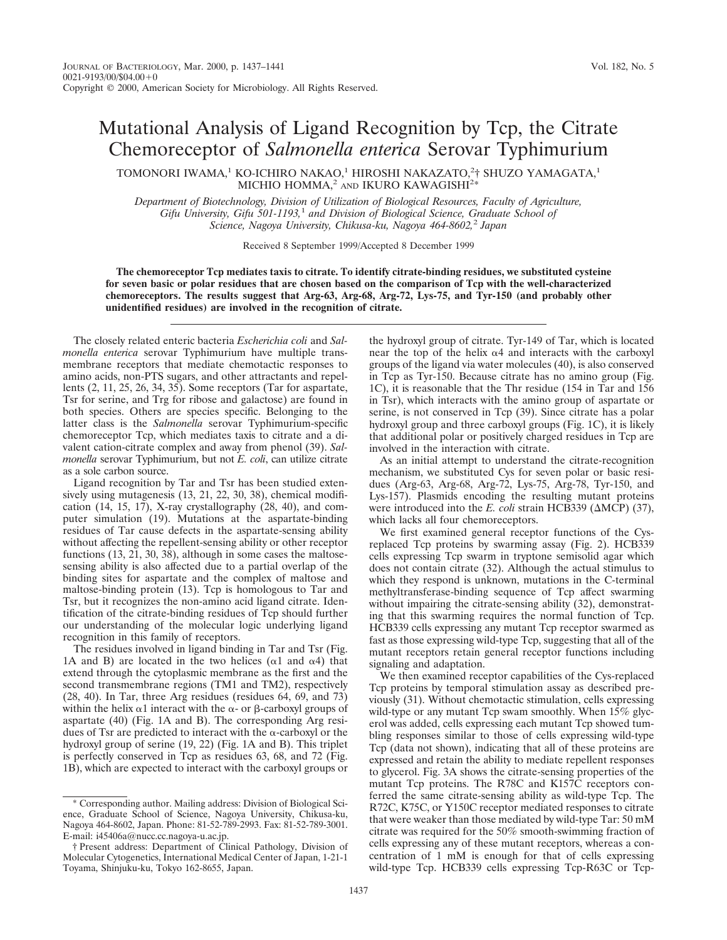## Mutational Analysis of Ligand Recognition by Tcp, the Citrate Chemoreceptor of *Salmonella enterica* Serovar Typhimurium

TOMONORI IWAMA, $^1$  KO-ICHIRO NAKAO, $^1$  HIROSHI NAKAZATO, $^2$ † SHUZO YAMAGATA, $^1$ MICHIO HOMMA, $^2$  and IKURO KAWAGISHI<sup>2\*</sup>

*Department of Biotechnology, Division of Utilization of Biological Resources, Faculty of Agriculture, Gifu University, Gifu 501-1193,*<sup>1</sup> *and Division of Biological Science, Graduate School of Science, Nagoya University, Chikusa-ku, Nagoya 464-8602,*<sup>2</sup> *Japan*

Received 8 September 1999/Accepted 8 December 1999

**The chemoreceptor Tcp mediates taxis to citrate. To identify citrate-binding residues, we substituted cysteine for seven basic or polar residues that are chosen based on the comparison of Tcp with the well-characterized chemoreceptors. The results suggest that Arg-63, Arg-68, Arg-72, Lys-75, and Tyr-150 (and probably other unidentified residues) are involved in the recognition of citrate.**

The closely related enteric bacteria *Escherichia coli* and *Salmonella enterica* serovar Typhimurium have multiple transmembrane receptors that mediate chemotactic responses to amino acids, non-PTS sugars, and other attractants and repellents (2, 11, 25, 26, 34, 35). Some receptors (Tar for aspartate, Tsr for serine, and Trg for ribose and galactose) are found in both species. Others are species specific. Belonging to the latter class is the *Salmonella* serovar Typhimurium-specific chemoreceptor Tcp, which mediates taxis to citrate and a divalent cation-citrate complex and away from phenol (39). *Salmonella* serovar Typhimurium, but not *E. coli*, can utilize citrate as a sole carbon source.

Ligand recognition by Tar and Tsr has been studied extensively using mutagenesis (13, 21, 22, 30, 38), chemical modification  $(14, 15, 17)$ , X-ray crystallography  $(28, 40)$ , and computer simulation (19). Mutations at the aspartate-binding residues of Tar cause defects in the aspartate-sensing ability without affecting the repellent-sensing ability or other receptor functions  $(13, 21, 30, 38)$ , although in some cases the maltosesensing ability is also affected due to a partial overlap of the binding sites for aspartate and the complex of maltose and maltose-binding protein (13). Tcp is homologous to Tar and Tsr, but it recognizes the non-amino acid ligand citrate. Identification of the citrate-binding residues of Tcp should further our understanding of the molecular logic underlying ligand recognition in this family of receptors.

The residues involved in ligand binding in Tar and Tsr (Fig. 1A and B) are located in the two helices ( $\alpha$ 1 and  $\alpha$ 4) that extend through the cytoplasmic membrane as the first and the second transmembrane regions (TM1 and TM2), respectively (28, 40). In Tar, three Arg residues (residues 64, 69, and 73) within the helix  $\alpha$ 1 interact with the  $\alpha$ - or  $\beta$ -carboxyl groups of aspartate (40) (Fig. 1A and B). The corresponding Arg residues of Tsr are predicted to interact with the  $\alpha$ -carboxyl or the hydroxyl group of serine (19, 22) (Fig. 1A and B). This triplet is perfectly conserved in Tcp as residues 63, 68, and 72 (Fig. 1B), which are expected to interact with the carboxyl groups or

the hydroxyl group of citrate. Tyr-149 of Tar, which is located near the top of the helix  $\alpha$ 4 and interacts with the carboxyl groups of the ligand via water molecules (40), is also conserved in Tcp as Tyr-150. Because citrate has no amino group (Fig. 1C), it is reasonable that the Thr residue (154 in Tar and 156 in Tsr), which interacts with the amino group of aspartate or serine, is not conserved in Tcp (39). Since citrate has a polar hydroxyl group and three carboxyl groups (Fig. 1C), it is likely that additional polar or positively charged residues in Tcp are involved in the interaction with citrate.

As an initial attempt to understand the citrate-recognition mechanism, we substituted Cys for seven polar or basic residues (Arg-63, Arg-68, Arg-72, Lys-75, Arg-78, Tyr-150, and Lys-157). Plasmids encoding the resulting mutant proteins were introduced into the *E. coli* strain HCB339 ( $\triangle MCP$ ) (37), which lacks all four chemoreceptors.

We first examined general receptor functions of the Cysreplaced Tcp proteins by swarming assay (Fig. 2). HCB339 cells expressing Tcp swarm in tryptone semisolid agar which does not contain citrate (32). Although the actual stimulus to which they respond is unknown, mutations in the C-terminal methyltransferase-binding sequence of Tcp affect swarming without impairing the citrate-sensing ability (32), demonstrating that this swarming requires the normal function of Tcp. HCB339 cells expressing any mutant Tcp receptor swarmed as fast as those expressing wild-type Tcp, suggesting that all of the mutant receptors retain general receptor functions including signaling and adaptation.

We then examined receptor capabilities of the Cys-replaced Tcp proteins by temporal stimulation assay as described previously (31). Without chemotactic stimulation, cells expressing wild-type or any mutant Tcp swam smoothly. When 15% glycerol was added, cells expressing each mutant Tcp showed tumbling responses similar to those of cells expressing wild-type Tcp (data not shown), indicating that all of these proteins are expressed and retain the ability to mediate repellent responses to glycerol. Fig. 3A shows the citrate-sensing properties of the mutant Tcp proteins. The R78C and K157C receptors conferred the same citrate-sensing ability as wild-type Tcp. The R72C, K75C, or Y150C receptor mediated responses to citrate that were weaker than those mediated by wild-type Tar: 50 mM citrate was required for the 50% smooth-swimming fraction of cells expressing any of these mutant receptors, whereas a concentration of 1 mM is enough for that of cells expressing wild-type Tcp. HCB339 cells expressing Tcp-R63C or Tcp-

<sup>\*</sup> Corresponding author. Mailing address: Division of Biological Science, Graduate School of Science, Nagoya University, Chikusa-ku, Nagoya 464-8602, Japan. Phone: 81-52-789-2993. Fax: 81-52-789-3001. E-mail: i45406a@nucc.cc.nagoya-u.ac.jp.

<sup>†</sup> Present address: Department of Clinical Pathology, Division of Molecular Cytogenetics, International Medical Center of Japan, 1-21-1 Toyama, Shinjuku-ku, Tokyo 162-8655, Japan.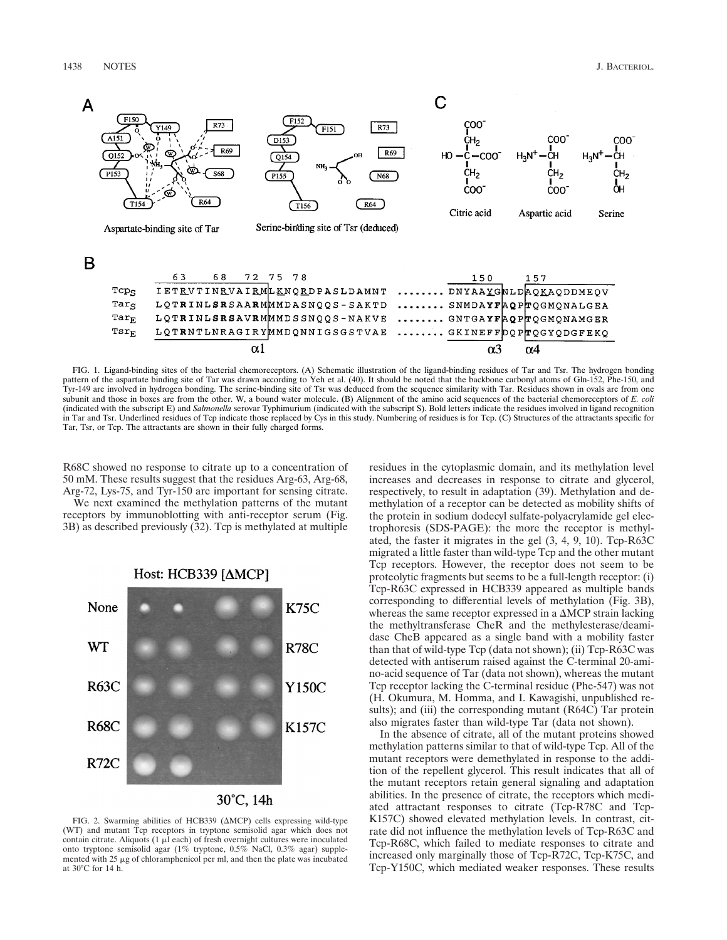

FIG. 1. Ligand-binding sites of the bacterial chemoreceptors. (A) Schematic illustration of the ligand-binding residues of Tar and Tsr. The hydrogen bonding pattern of the aspartate binding site of Tar was drawn according to Yeh et al. (40). It should be noted that the backbone carbonyl atoms of Gln-152, Phe-150, and Tyr-149 are involved in hydrogen bonding. The serine-binding site of Tsr was deduced from the sequence similarity with Tar. Residues shown in ovals are from one subunit and those in boxes are from the other. W, a bound water molecule. (B) Alignment of the amino acid sequences of the bacterial chemoreceptors of *E. coli* (indicated with the subscript E) and *Salmonella* serovar Typhimurium (indicated with the subscript S). Bold letters indicate the residues involved in ligand recognition in Tar and Tsr. Underlined residues of Tcp indicate those replaced by Cys in this study. Numbering of residues is for Tcp. (C) Structures of the attractants specific for Tar, Tsr, or Tcp. The attractants are shown in their fully charged forms.

R68C showed no response to citrate up to a concentration of 50 mM. These results suggest that the residues Arg-63, Arg-68, Arg-72, Lys-75, and Tyr-150 are important for sensing citrate.

We next examined the methylation patterns of the mutant receptors by immunoblotting with anti-receptor serum (Fig. 3B) as described previously (32). Tcp is methylated at multiple



FIG. 2. Swarming abilities of HCB339 ( $\triangle MCP$ ) cells expressing wild-type (WT) and mutant Tcp receptors in tryptone semisolid agar which does not contain citrate. Aliquots (1  $\mu$ l each) of fresh overnight cultures were inoculated onto tryptone semisolid agar (1% tryptone, 0.5% NaCl, 0.3% agar) supplemented with  $25 \mu g$  of chloramphenicol per ml, and then the plate was incubated at 30°C for 14 h.

residues in the cytoplasmic domain, and its methylation level increases and decreases in response to citrate and glycerol, respectively, to result in adaptation (39). Methylation and demethylation of a receptor can be detected as mobility shifts of the protein in sodium dodecyl sulfate-polyacrylamide gel electrophoresis (SDS-PAGE): the more the receptor is methylated, the faster it migrates in the gel (3, 4, 9, 10). Tcp-R63C migrated a little faster than wild-type Tcp and the other mutant Tcp receptors. However, the receptor does not seem to be proteolytic fragments but seems to be a full-length receptor: (i) Tcp-R63C expressed in HCB339 appeared as multiple bands corresponding to differential levels of methylation (Fig. 3B), whereas the same receptor expressed in a  $\Delta MCP$  strain lacking the methyltransferase CheR and the methylesterase/deamidase CheB appeared as a single band with a mobility faster than that of wild-type Tcp (data not shown); (ii) Tcp-R63C was detected with antiserum raised against the C-terminal 20-amino-acid sequence of Tar (data not shown), whereas the mutant Tcp receptor lacking the C-terminal residue (Phe-547) was not (H. Okumura, M. Homma, and I. Kawagishi, unpublished results); and (iii) the corresponding mutant (R64C) Tar protein also migrates faster than wild-type Tar (data not shown).

In the absence of citrate, all of the mutant proteins showed methylation patterns similar to that of wild-type Tcp. All of the mutant receptors were demethylated in response to the addition of the repellent glycerol. This result indicates that all of the mutant receptors retain general signaling and adaptation abilities. In the presence of citrate, the receptors which mediated attractant responses to citrate (Tcp-R78C and Tcp-K157C) showed elevated methylation levels. In contrast, citrate did not influence the methylation levels of Tcp-R63C and Tcp-R68C, which failed to mediate responses to citrate and increased only marginally those of Tcp-R72C, Tcp-K75C, and Tcp-Y150C, which mediated weaker responses. These results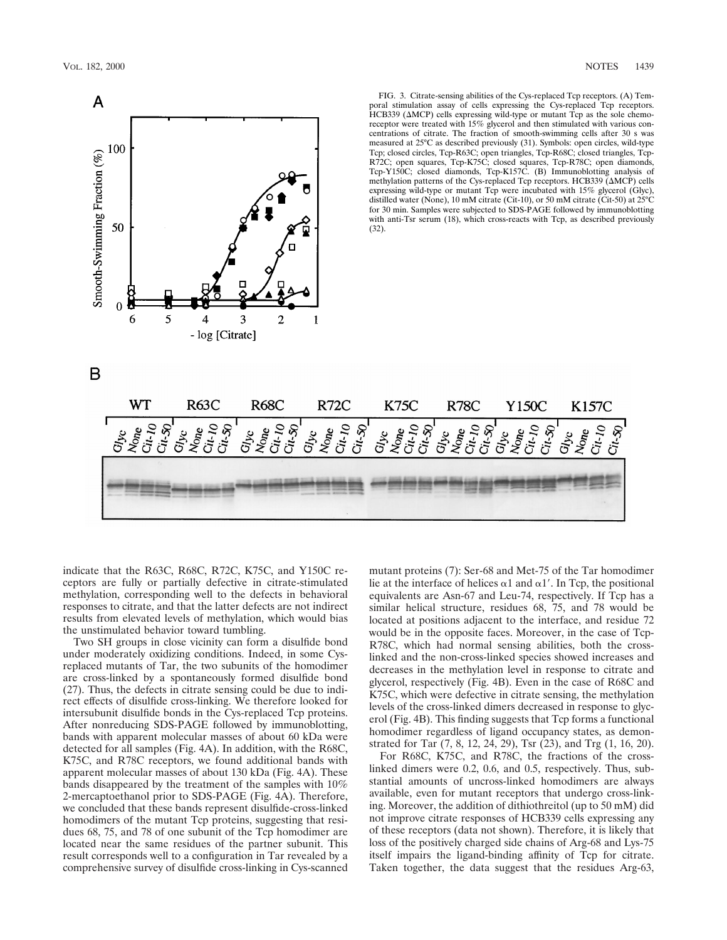

indicate that the R63C, R68C, R72C, K75C, and Y150C receptors are fully or partially defective in citrate-stimulated methylation, corresponding well to the defects in behavioral responses to citrate, and that the latter defects are not indirect results from elevated levels of methylation, which would bias the unstimulated behavior toward tumbling.

Two SH groups in close vicinity can form a disulfide bond under moderately oxidizing conditions. Indeed, in some Cysreplaced mutants of Tar, the two subunits of the homodimer are cross-linked by a spontaneously formed disulfide bond (27). Thus, the defects in citrate sensing could be due to indirect effects of disulfide cross-linking. We therefore looked for intersubunit disulfide bonds in the Cys-replaced Tcp proteins. After nonreducing SDS-PAGE followed by immunoblotting, bands with apparent molecular masses of about 60 kDa were detected for all samples (Fig. 4A). In addition, with the R68C, K75C, and R78C receptors, we found additional bands with apparent molecular masses of about 130 kDa (Fig. 4A). These bands disappeared by the treatment of the samples with 10% 2-mercaptoethanol prior to SDS-PAGE (Fig. 4A). Therefore, we concluded that these bands represent disulfide-cross-linked homodimers of the mutant Tcp proteins, suggesting that residues 68, 75, and 78 of one subunit of the Tcp homodimer are located near the same residues of the partner subunit. This result corresponds well to a configuration in Tar revealed by a comprehensive survey of disulfide cross-linking in Cys-scanned mutant proteins (7): Ser-68 and Met-75 of the Tar homodimer lie at the interface of helices  $\alpha$ 1 and  $\alpha$ 1'. In Tcp, the positional equivalents are Asn-67 and Leu-74, respectively. If Tcp has a similar helical structure, residues 68, 75, and 78 would be located at positions adjacent to the interface, and residue 72 would be in the opposite faces. Moreover, in the case of Tcp-R78C, which had normal sensing abilities, both the crosslinked and the non-cross-linked species showed increases and decreases in the methylation level in response to citrate and glycerol, respectively (Fig. 4B). Even in the case of R68C and K75C, which were defective in citrate sensing, the methylation levels of the cross-linked dimers decreased in response to glycerol (Fig. 4B). This finding suggests that Tcp forms a functional homodimer regardless of ligand occupancy states, as demonstrated for Tar (7, 8, 12, 24, 29), Tsr (23), and Trg (1, 16, 20).

For R68C, K75C, and R78C, the fractions of the crosslinked dimers were 0.2, 0.6, and 0.5, respectively. Thus, substantial amounts of uncross-linked homodimers are always available, even for mutant receptors that undergo cross-linking. Moreover, the addition of dithiothreitol (up to 50 mM) did not improve citrate responses of HCB339 cells expressing any of these receptors (data not shown). Therefore, it is likely that loss of the positively charged side chains of Arg-68 and Lys-75 itself impairs the ligand-binding affinity of Tcp for citrate. Taken together, the data suggest that the residues Arg-63,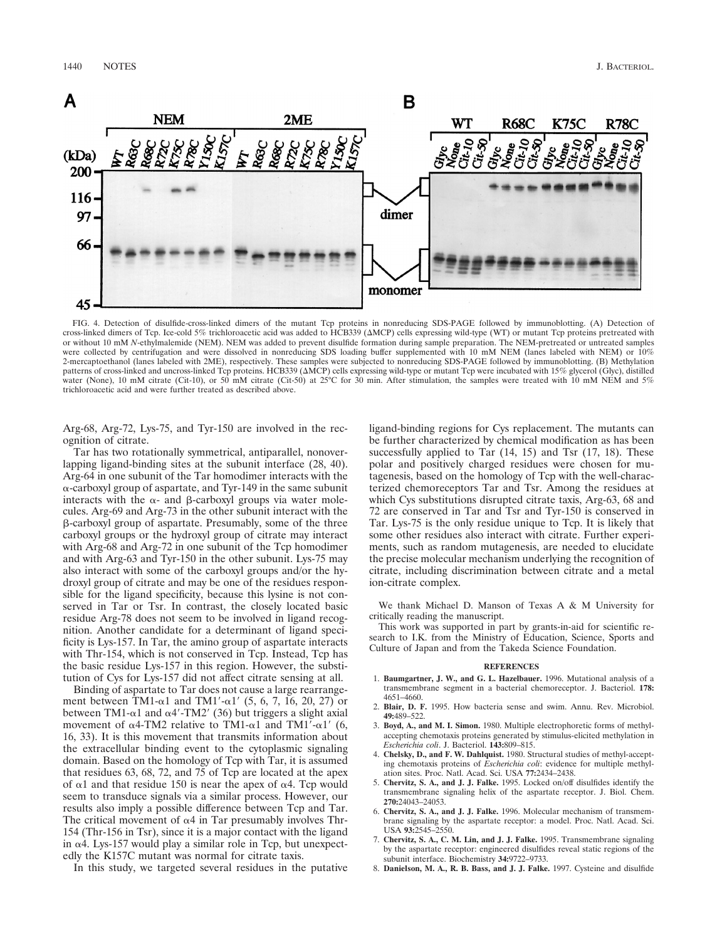

FIG. 4. Detection of disulfide-cross-linked dimers of the mutant Tcp proteins in nonreducing SDS-PAGE followed by immunoblotting. (A) Detection of<br>cross-linked dimers of Tcp. Ice-cold 5% trichloroacetic acid was added to H or without 10 mM *N*-ethylmalemide (NEM). NEM was added to prevent disulfide formation during sample preparation. The NEM-pretreated or untreated samples were collected by centrifugation and were dissolved in nonreducing SDS loading buffer supplemented with 10 mM NEM (lanes labeled with NEM) or 10% 2-mercaptoethanol (lanes labeled with 2ME), respectively. These samples were subjected to nonreducing SDS-PAGE followed by immunoblotting. (B) Methylation patterns of cross-linked and uncross-linked Tcp proteins. HCB339 ( $\Delta MCP$ ) cells expressing wild-type or mutant Tcp were incubated with 15% glycerol (Glyc), distilled water (None), 10 mM citrate (Cit-10), or 50 mM citrate (Cit-50) at 25°C for 30 min. After stimulation, the samples were treated with 10 mM NEM and 5% trichloroacetic acid and were further treated as described above.

Arg-68, Arg-72, Lys-75, and Tyr-150 are involved in the recognition of citrate.

Tar has two rotationally symmetrical, antiparallel, nonoverlapping ligand-binding sites at the subunit interface (28, 40). Arg-64 in one subunit of the Tar homodimer interacts with the a-carboxyl group of aspartate, and Tyr-149 in the same subunit interacts with the  $\alpha$ - and  $\beta$ -carboxyl groups via water molecules. Arg-69 and Arg-73 in the other subunit interact with the b-carboxyl group of aspartate. Presumably, some of the three carboxyl groups or the hydroxyl group of citrate may interact with Arg-68 and Arg-72 in one subunit of the Tcp homodimer and with Arg-63 and Tyr-150 in the other subunit. Lys-75 may also interact with some of the carboxyl groups and/or the hydroxyl group of citrate and may be one of the residues responsible for the ligand specificity, because this lysine is not conserved in Tar or Tsr. In contrast, the closely located basic residue Arg-78 does not seem to be involved in ligand recognition. Another candidate for a determinant of ligand specificity is Lys-157. In Tar, the amino group of aspartate interacts with Thr-154, which is not conserved in Tcp. Instead, Tcp has the basic residue Lys-157 in this region. However, the substitution of Cys for Lys-157 did not affect citrate sensing at all.

Binding of aspartate to Tar does not cause a large rearrangement between TM1- $\alpha$ 1 and TM1'- $\alpha$ 1' (5, 6, 7, 16, 20, 27) or between TM1- $\alpha$ 1 and  $\alpha$ 4'-TM2' (36) but triggers a slight axial movement of  $\alpha$ 4-TM2 relative to TM1- $\alpha$ 1 and TM1'- $\alpha$ 1' (6, 16, 33). It is this movement that transmits information about the extracellular binding event to the cytoplasmic signaling domain. Based on the homology of Tcp with Tar, it is assumed that residues 63, 68, 72, and 75 of Tcp are located at the apex of  $\alpha$ 1 and that residue 150 is near the apex of  $\alpha$ 4. Tcp would seem to transduce signals via a similar process. However, our results also imply a possible difference between Tcp and Tar. The critical movement of  $\alpha$ 4 in Tar presumably involves Thr-154 (Thr-156 in Tsr), since it is a major contact with the ligand in  $\alpha$ 4. Lys-157 would play a similar role in Tcp, but unexpectedly the K157C mutant was normal for citrate taxis.

In this study, we targeted several residues in the putative

ligand-binding regions for Cys replacement. The mutants can be further characterized by chemical modification as has been successfully applied to Tar  $(14, 15)$  and Tsr  $(17, 18)$ . These polar and positively charged residues were chosen for mutagenesis, based on the homology of Tcp with the well-characterized chemoreceptors Tar and Tsr. Among the residues at which Cys substitutions disrupted citrate taxis, Arg-63, 68 and 72 are conserved in Tar and Tsr and Tyr-150 is conserved in Tar. Lys-75 is the only residue unique to Tcp. It is likely that some other residues also interact with citrate. Further experiments, such as random mutagenesis, are needed to elucidate the precise molecular mechanism underlying the recognition of citrate, including discrimination between citrate and a metal ion-citrate complex.

We thank Michael D. Manson of Texas A  $&$  M University for critically reading the manuscript.

This work was supported in part by grants-in-aid for scientific research to I.K. from the Ministry of Education, Science, Sports and Culture of Japan and from the Takeda Science Foundation.

## **REFERENCES**

- 1. **Baumgartner, J. W., and G. L. Hazelbauer.** 1996. Mutational analysis of a transmembrane segment in a bacterial chemoreceptor. J. Bacteriol. **178:** 4651–4660.
- 2. **Blair, D. F.** 1995. How bacteria sense and swim. Annu. Rev. Microbiol. **49:**489–522.
- 3. **Boyd, A., and M. I. Simon.** 1980. Multiple electrophoretic forms of methylaccepting chemotaxis proteins generated by stimulus-elicited methylation in *Escherichia coli*. J. Bacteriol. **143:**809–815.
- 4. **Chelsky, D., and F. W. Dahlquist.** 1980. Structural studies of methyl-accepting chemotaxis proteins of *Escherichia coli*: evidence for multiple methylation sites. Proc. Natl. Acad. Sci. USA **77:**2434–2438.
- 5. **Chervitz, S. A., and J. J. Falke.** 1995. Locked on/off disulfides identify the transmembrane signaling helix of the aspartate receptor. J. Biol. Chem. **270:**24043–24053.
- 6. **Chervitz, S. A., and J. J. Falke.** 1996. Molecular mechanism of transmembrane signaling by the aspartate receptor: a model. Proc. Natl. Acad. Sci. USA **93:**2545–2550.
- 7. **Chervitz, S. A., C. M. Lin, and J. J. Falke.** 1995. Transmembrane signaling by the aspartate receptor: engineered disulfides reveal static regions of the subunit interface. Biochemistry **34:**9722–9733.
- 8. **Danielson, M. A., R. B. Bass, and J. J. Falke.** 1997. Cysteine and disulfide